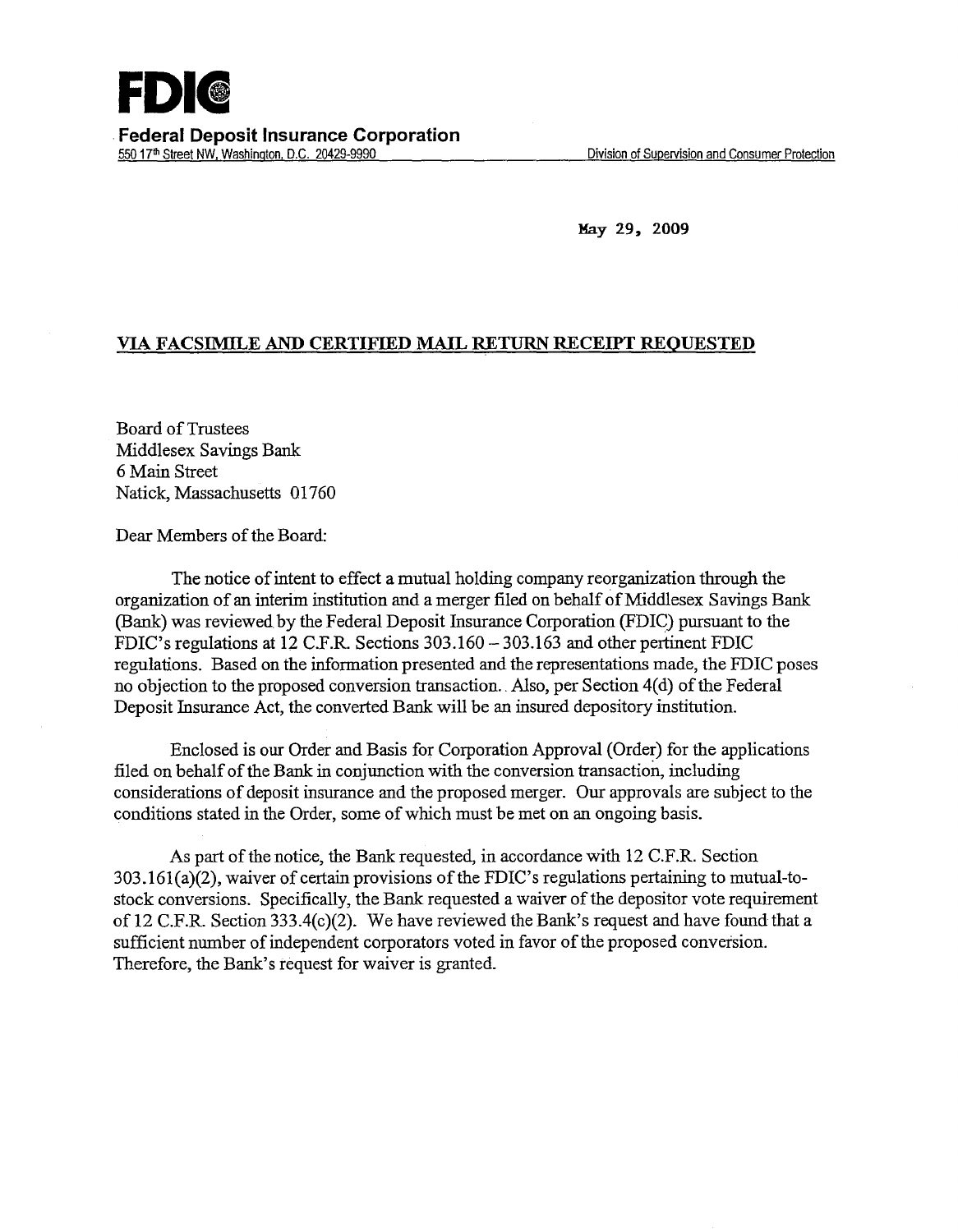

May 29, 2009

## VIA FACSIMILE AND CERTIFIED MAIL RETURN RECEIPT REQUESTED

Board of Trustees Middlesex Savings Bank 6 Main Street Natick, Massachusetts 01760

Dear Members of the Board:

The notice of intent to effect a mutual holding company reorganization through the organization of an interim institution and a merger filed on behalf of Middlesex Savings Bank (Bank) was reviewed by the Federal Deposit Insurance Corporation (FDIC) pursuant to the FDIC's regulations at 12 C.F.R. Sections 303.160-303.163 and other pertinent FDIC regulations. Based on the information presented and the representations made, the FDIC poses no objection to the proposed conversion transaction. Also, per Section 4(d) of the Federal Deposit Insurance Act, the converted Bank will be an insured depository institution.

Enclosed is our Order and Basis for Corporation Approval (Order) for the applications filed on behalf of the Bank in conjunction with the conversion transaction, including considerations of deposit insurance and the proposed merger. Our approvals are subject to the conditions stated in the Order, some of which must be met on an ongoing basis.

As part of the notice, the Bank requested, in accordance with 12 C.F.R. Section  $303.161(a)(2)$ , waiver of certain provisions of the FDIC's regulations pertaining to mutual-tostock conversions. Specifically, the Bank requested a waiver of the depositor vote requirement of 12 C.F.R. Section 333.4(c)(2). We have reviewed the Bank's request and have found that a sufficient number of independent corporators voted in favor of the proposed conversion. Therefore, the Bank's request for waiver is granted.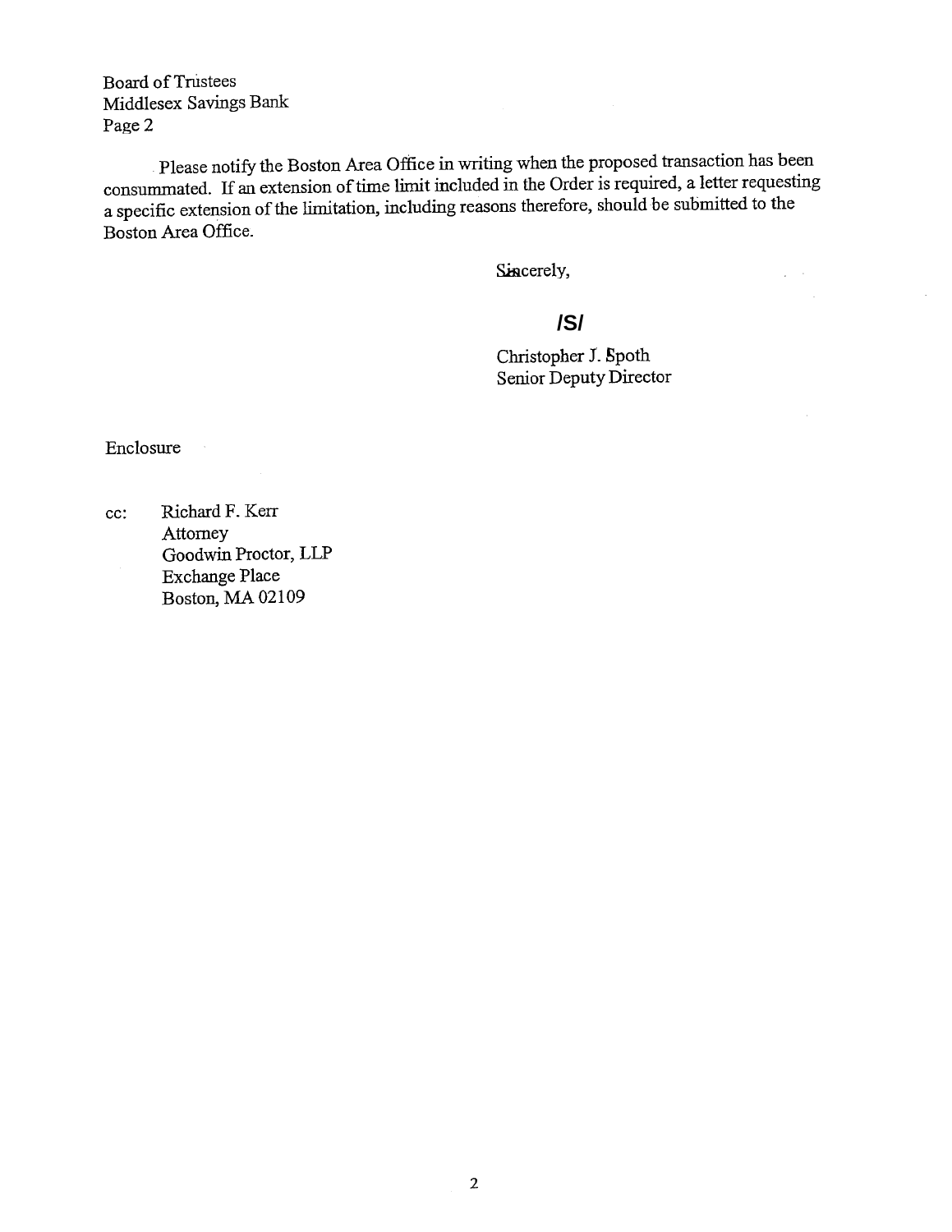Board of Trustees Middlesex Savings Bank Page 2

Please notify the Boston Area Office in writing when the proposed transaction has been consummated. If an extension of time limit included in the Order is required, a letter requesting a specific extension of the limitation, including reasons therefore, should be submitted to the Boston Area Office.

Sincerely,

# **/S/**

Christopher J. Spoth Senior Deputy Director  $\Delta \sim 10^4$ 

 $\bar{z}$ 

Enclosure

cc: Richard F. Kerr **Attorney** Goodwin Proctor, LLP Exchange Place Boston, MA 02109

 $\sim$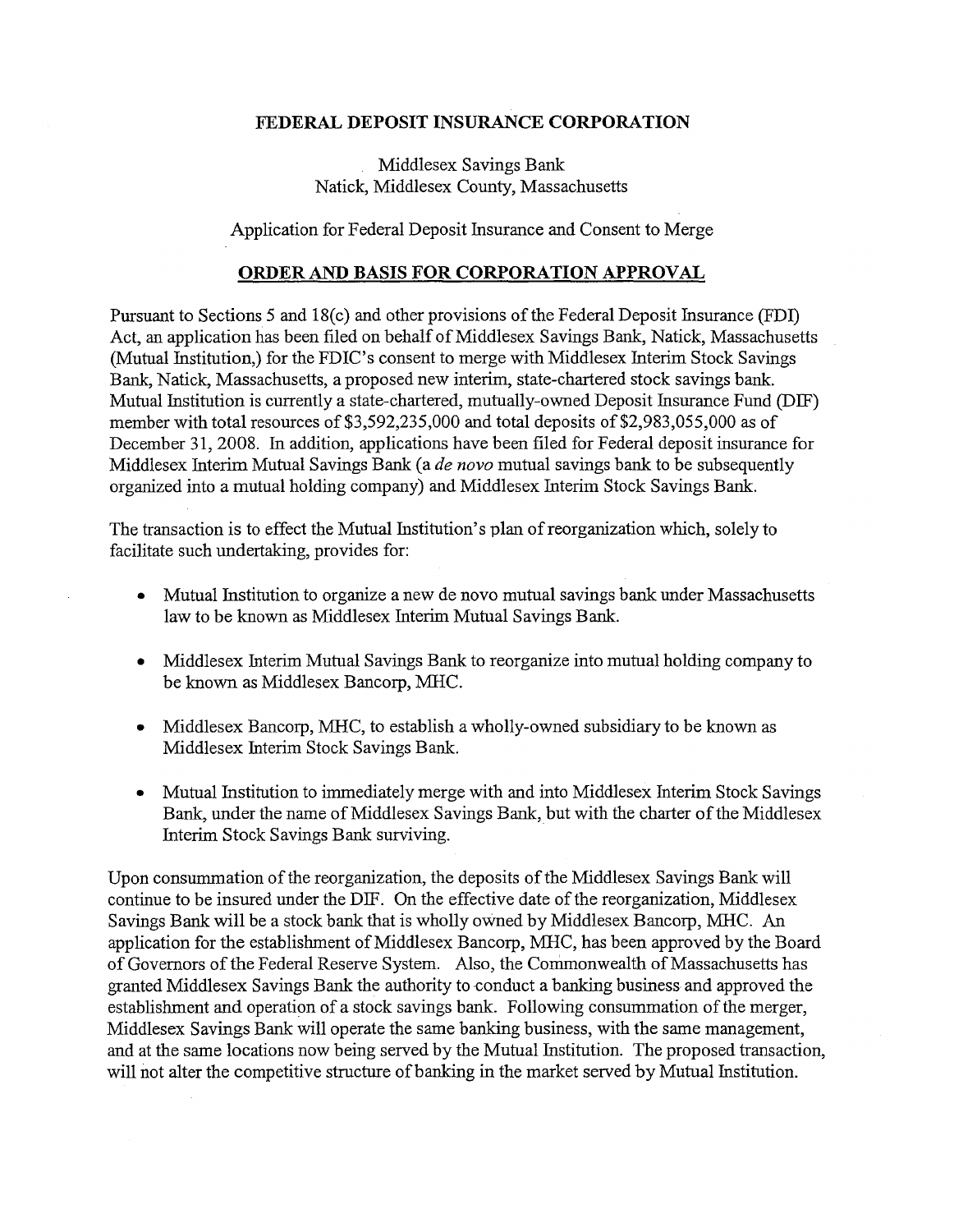### **FEDERAL DEPOSIT INSURANCE CORPORATION**

## Middlesex Savings Bank Natick, Middlesex County, Massachusetts

Application for Federal Deposit Insurance and Consent to Merge

#### **ORDER AND BASIS FOR CORPORATION APPROVAL**

Pursuant to Sections 5 and 18(c) and other provisions of the Federal Deposit Insurance (FDI) Act, an application has been filed on behalf of Middlesex Savings Bank, Natick, Massachusetts (Mutual Institution,) for the FDIC's consent to merge with Middlesex Interim Stock Savings Bank, Natick, Massachusetts, a proposed new interim, state-chartered stock savings bank. Mutual Institution is currently a state-chartered, mutually-owned Deposit Insurance Fund (DIF) member with total resources of \$3,592,235,000 and total deposits of \$2,983,055,000 as of December 31, 2008. In addition, applications have been filed for Federal deposit insurance for Middlesex Interim Mutual Savings Bank (a *de novo* mutual savings bank to be subsequently organized into a mutual holding company) and Middlesex Interim Stock Savings Bank.

The transaction is to effect the Mutual Institution's plan of reorganization which, solely to facilitate such undertaking, provides for:

- Mutual Institution to organize a new de novo mutual savings bank under Massachusetts law to be known as Middlesex Interim Mutual Savings Bank.
- Middlesex Interim Mutual Savings Bank to reorganize into mutual holding company to be known as Middlesex Bancorp, MHC.
- Middlesex Bancorp, MHC, to establish a wholly-owned subsidiary to be known as Middlesex Interim Stock Savings Bank.
- Mutual Institution to immediately merge with and into Middlesex Interim Stock Savings Bank, under the name of Middlesex Savings Bank, but with the charter of the Middlesex Interim Stock Savings Bank surviving.

Upon consummation of the reorganization, the deposits of the Middlesex Savings Bank will continue to be insured under the DIF. On the effective date of the reorganization, Middlesex Savings Bank will be a stock bank that is wholly owned by Middlesex Bancorp, MHC. An application for the establishment of Middlesex Bancorp, MHC, has been approved by the Board of Governors of the Federal Reserve System. Also, the Commonwealth of Massachusetts has granted Middlesex Savings Bank the authority to conduct a banking business and approved the establishment and operation of a stock savings bank. Following consummation of the merger, Middlesex Savings Bank will operate the same banking business, with the same management, and at the same locations now being served by the Mutual Institution. The proposed transaction, will not alter the competitive structure of banking in the market served by Mutual Institution.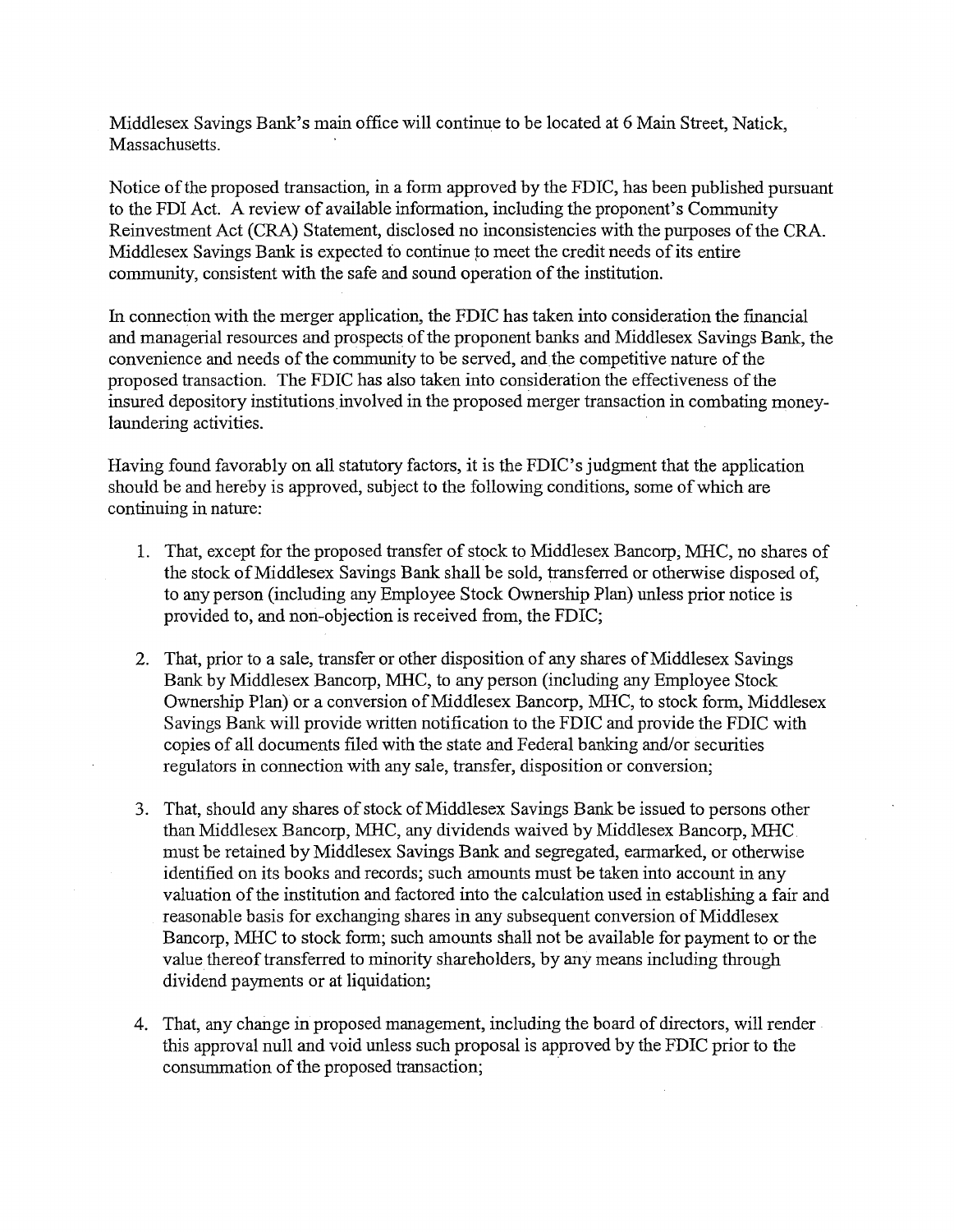Middlesex Savings Bank's main office will continue to be located at 6 Main Street, Natick, Massachusetts.

Notice of the proposed transaction, in a form approved by the FDIC, has been published pursuant to the FDI Act. A review of available information, including the proponent's Community Reinvestment Act (CRA) Statement, disclosed no inconsistencies with the purposes of the CRA. Middlesex Savings Bank is expected to continue *to* meet the credit needs of its entire community, consistent with the safe and sound operation of the institution.

In connection with the merger application, the FDIC has taken into consideration the fmancial and managerial resources and prospects of the proponent banks and Middlesex Savings Bank, the convenience and needs of the community to be served, and the competitive nature of the proposed transaction. The FDIC has also taken into consideration the effectiveness of the insured depository institutions involved in the proposed merger transaction in combating moneylaundering activities.

Having found favorably on all statutory factors, it is the FDIC's judgment that the application should be and hereby is approved, subject to the following conditions, some of which are continuing in nature:

- 1. That, except for the proposed transfer of stock to Middlesex Bancorp, MHC, no shares of the stock of Middlesex Savings Bank shall be sold, transferred or otherwise disposed of, to any person (including any Employee Stock Ownership Plan) unless prior notice is provided to, and non-objection is received from, the FDIC;
- 2. That, prior to a sale, transfer or other disposition of any shares of Middlesex Savings Bank by Middlesex Bancorp, MHC, to any person (including any Employee Stock Ownership Plan) or a conversion of Middlesex Bancorp, MHC, to stock form, Middlesex Savings Bank will provide written notification to the FDIC and provide the FDIC with copies of all documents filed with the state and Federal banking and/or securities regulators in connection with any sale, transfer, disposition or conversion;
- 3. That, should any shares of stock of Middlesex Savings Bank be issued to persons other than Middlesex Bancorp, MHC, any dividends waived by Middlesex Bancorp, MHC must be retained by Middlesex Savings Bank and segregated, earmarked, or otherwise identified on its books and records; such amounts must be taken into account in any valuation of the institution and factored into the calculation used in establishing a fair and reasonable basis for exchanging shares in any subsequent conversion of Middlesex Bancorp, MHC to stock form; such amounts shall not be available for payment to or the value thereof transferred to minority shareholders, by any means including through dividend payments or at liquidation;
- 4. That, any change in proposed management, including the board of directors, will render this approval null and void unless such proposal is approved by the FDIC prior to the consummation of the proposed transaction;